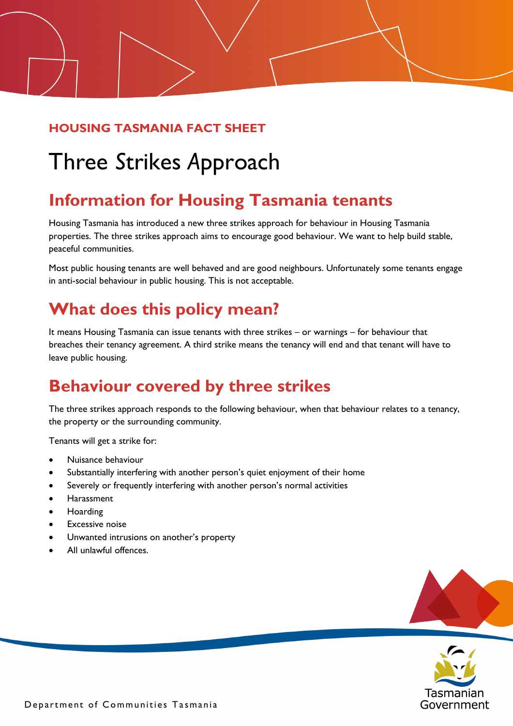#### **HOUSING TASMANIA FACT SHEET**

# Three *S*trikes *A*pproach

# **Information for Housing Tasmania tenants**

Housing Tasmania has introduced a new three strikes approach for behaviour in Housing Tasmania properties. The three strikes approach aims to encourage good behaviour. We want to help build stable, peaceful communities.

Most public housing tenants are well behaved and are good neighbours. Unfortunately some tenants engage in anti-social behaviour in public housing. This is not acceptable.

# **What does this policy mean?**

It means Housing Tasmania can issue tenants with three strikes – or warnings – for behaviour that breaches their tenancy agreement. A third strike means the tenancy will end and that tenant will have to leave public housing.

# **Behaviour covered by three strikes**

The three strikes approach responds to the following behaviour, when that behaviour relates to a tenancy, the property or the surrounding community.

Tenants will get a strike for:

- Nuisance behaviour
- Substantially interfering with another person's quiet enjoyment of their home
- Severely or frequently interfering with another person's normal activities
- **Harassment**
- Hoarding
- **Excessive noise**
- Unwanted intrusions on another's property
- All unlawful offences.



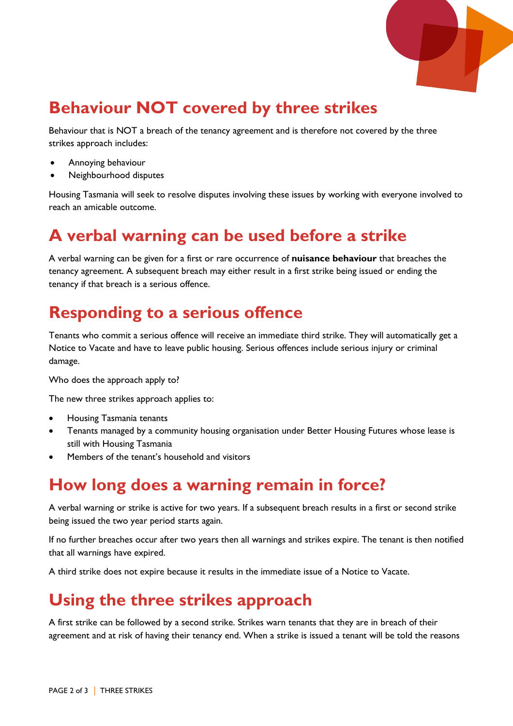

# **Behaviour NOT covered by three strikes**

Behaviour that is NOT a breach of the tenancy agreement and is therefore not covered by the three strikes approach includes:

- Annoying behaviour
- Neighbourhood disputes

Housing Tasmania will seek to resolve disputes involving these issues by working with everyone involved to reach an amicable outcome.

#### **A verbal warning can be used before a strike**

A verbal warning can be given for a first or rare occurrence of **nuisance behaviour** that breaches the tenancy agreement. A subsequent breach may either result in a first strike being issued or ending the tenancy if that breach is a serious offence.

#### **Responding to a serious offence**

Tenants who commit a serious offence will receive an immediate third strike. They will automatically get a Notice to Vacate and have to leave public housing. Serious offences include serious injury or criminal damage.

Who does the approach apply to?

The new three strikes approach applies to:

- Housing Tasmania tenants
- Tenants managed by a community housing organisation under Better Housing Futures whose lease is still with Housing Tasmania
- Members of the tenant's household and visitors

# **How long does a warning remain in force?**

A verbal warning or strike is active for two years. If a subsequent breach results in a first or second strike being issued the two year period starts again.

If no further breaches occur after two years then all warnings and strikes expire. The tenant is then notified that all warnings have expired.

A third strike does not expire because it results in the immediate issue of a Notice to Vacate.

#### **Using the three strikes approach**

A first strike can be followed by a second strike. Strikes warn tenants that they are in breach of their agreement and at risk of having their tenancy end. When a strike is issued a tenant will be told the reasons